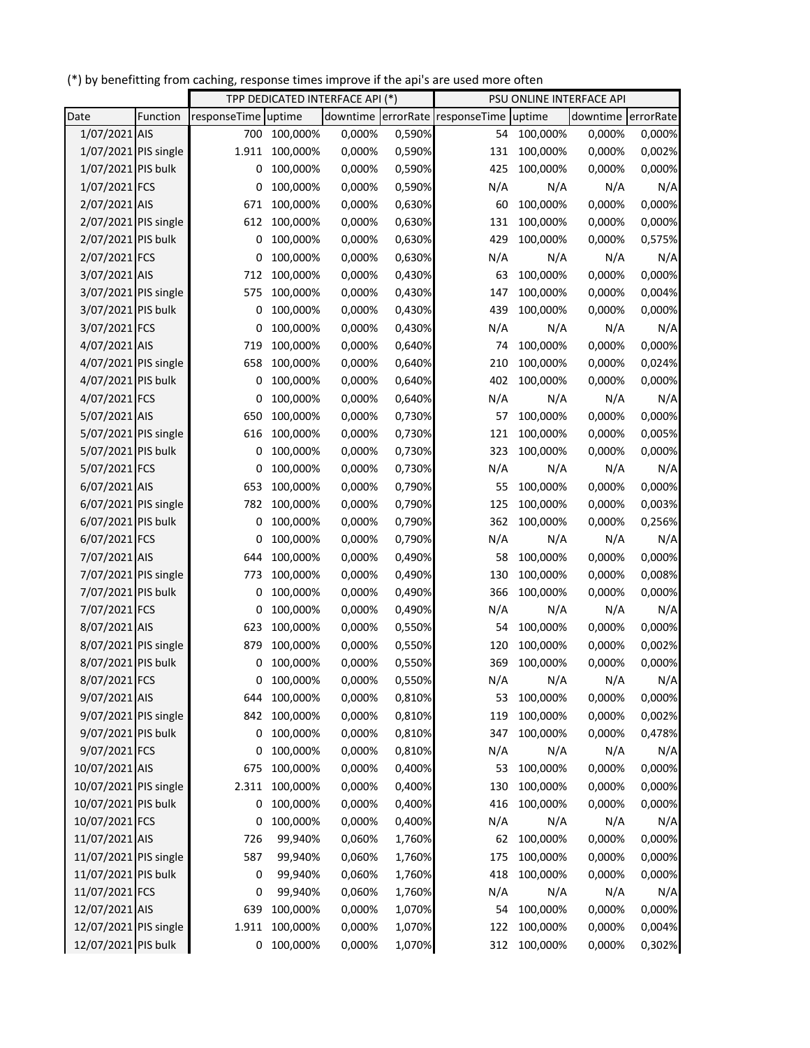(\*) by benefitting from caching, response times improve if the api's are used more often

|                       |          | TPP DEDICATED INTERFACE API (*) |          |        | PSU ONLINE INTERFACE API |                                 |          |                    |        |
|-----------------------|----------|---------------------------------|----------|--------|--------------------------|---------------------------------|----------|--------------------|--------|
| Date                  | Function | responseTime uptime             |          |        |                          | downtime errorRate responseTime | uptime   | downtime errorRate |        |
| 1/07/2021 AIS         |          | 700                             | 100,000% | 0,000% | 0,590%                   | 54                              | 100,000% | 0,000%             | 0,000% |
| 1/07/2021 PIS single  |          | 1.911                           | 100,000% | 0,000% | 0,590%                   | 131                             | 100,000% | 0,000%             | 0,002% |
| 1/07/2021 PIS bulk    |          | 0                               | 100,000% | 0,000% | 0,590%                   | 425                             | 100,000% | 0,000%             | 0,000% |
| 1/07/2021 FCS         |          | 0                               | 100,000% | 0,000% | 0,590%                   | N/A                             | N/A      | N/A                | N/A    |
| 2/07/2021 AIS         |          | 671                             | 100,000% | 0,000% | 0,630%                   | 60                              | 100,000% | 0,000%             | 0,000% |
| 2/07/2021 PIS single  |          | 612                             | 100,000% | 0,000% | 0,630%                   | 131                             | 100,000% | 0,000%             | 0,000% |
| 2/07/2021 PIS bulk    |          | 0                               | 100,000% | 0,000% | 0,630%                   | 429                             | 100,000% | 0,000%             | 0,575% |
| 2/07/2021 FCS         |          | 0                               | 100,000% | 0,000% | 0,630%                   | N/A                             | N/A      | N/A                | N/A    |
| 3/07/2021 AIS         |          | 712                             | 100,000% | 0,000% | 0,430%                   | 63                              | 100,000% | 0,000%             | 0,000% |
| 3/07/2021 PIS single  |          | 575                             | 100,000% | 0,000% | 0,430%                   | 147                             | 100,000% | 0,000%             | 0,004% |
| 3/07/2021 PIS bulk    |          | 0                               | 100,000% | 0,000% | 0,430%                   | 439                             | 100,000% | 0,000%             | 0,000% |
| 3/07/2021 FCS         |          | 0                               | 100,000% | 0,000% | 0,430%                   | N/A                             | N/A      | N/A                | N/A    |
| 4/07/2021 AIS         |          | 719                             | 100,000% | 0,000% | 0,640%                   | 74                              | 100,000% | 0,000%             | 0,000% |
| 4/07/2021 PIS single  |          | 658                             | 100,000% | 0,000% | 0,640%                   | 210                             | 100,000% | 0,000%             | 0,024% |
| 4/07/2021 PIS bulk    |          | 0                               | 100,000% | 0,000% | 0,640%                   | 402                             | 100,000% | 0,000%             | 0,000% |
| 4/07/2021 FCS         |          | 0                               | 100,000% | 0,000% | 0,640%                   | N/A                             | N/A      | N/A                | N/A    |
| 5/07/2021 AIS         |          | 650                             | 100,000% | 0,000% | 0,730%                   | 57                              | 100,000% | 0,000%             | 0,000% |
| 5/07/2021 PIS single  |          | 616                             | 100,000% | 0,000% | 0,730%                   | 121                             | 100,000% | 0,000%             | 0,005% |
| 5/07/2021 PIS bulk    |          | 0                               | 100,000% | 0,000% | 0,730%                   | 323                             | 100,000% | 0,000%             | 0,000% |
| 5/07/2021 FCS         |          | 0                               | 100,000% | 0,000% | 0,730%                   | N/A                             | N/A      | N/A                | N/A    |
| 6/07/2021 AIS         |          | 653                             | 100,000% | 0,000% | 0,790%                   | 55                              | 100,000% | 0,000%             | 0,000% |
| 6/07/2021 PIS single  |          | 782                             | 100,000% | 0,000% | 0,790%                   | 125                             | 100,000% | 0,000%             | 0,003% |
| 6/07/2021 PIS bulk    |          | 0                               | 100,000% | 0,000% | 0,790%                   | 362                             | 100,000% | 0,000%             | 0,256% |
| 6/07/2021 FCS         |          | 0                               | 100,000% | 0,000% | 0,790%                   | N/A                             | N/A      | N/A                | N/A    |
| 7/07/2021 AIS         |          | 644                             | 100,000% | 0,000% | 0,490%                   | 58                              | 100,000% | 0,000%             | 0,000% |
| 7/07/2021 PIS single  |          | 773                             | 100,000% | 0,000% | 0,490%                   | 130                             | 100,000% | 0,000%             | 0,008% |
| 7/07/2021 PIS bulk    |          | 0                               | 100,000% | 0,000% | 0,490%                   | 366                             | 100,000% | 0,000%             | 0,000% |
| 7/07/2021 FCS         |          | 0                               | 100,000% | 0,000% | 0,490%                   | N/A                             | N/A      | N/A                | N/A    |
| 8/07/2021 AIS         |          | 623                             | 100,000% | 0,000% | 0,550%                   | 54                              | 100,000% | 0,000%             | 0,000% |
| 8/07/2021 PIS single  |          | 879                             | 100,000% | 0,000% | 0,550%                   | 120                             | 100,000% | 0,000%             | 0,002% |
| 8/07/2021 PIS bulk    |          | 0                               | 100,000% | 0,000% | 0,550%                   | 369                             | 100,000% | 0,000%             | 0,000% |
| 8/07/2021 FCS         |          | 0                               | 100,000% | 0,000% | 0,550%                   | N/A                             | N/A      | N/A                | N/A    |
| 9/07/2021 AIS         |          | 644                             | 100,000% | 0,000% | 0,810%                   | 53                              | 100,000% | 0,000%             | 0,000% |
| 9/07/2021 PIS single  |          | 842                             | 100,000% | 0,000% | 0,810%                   | 119                             | 100,000% | 0,000%             | 0,002% |
| 9/07/2021 PIS bulk    |          | 0                               | 100,000% | 0,000% | 0,810%                   | 347                             | 100,000% | 0,000%             | 0,478% |
| 9/07/2021 FCS         |          | 0                               | 100,000% | 0,000% | 0,810%                   | N/A                             | N/A      | N/A                | N/A    |
| 10/07/2021 AIS        |          | 675                             | 100,000% | 0,000% | 0,400%                   | 53                              | 100,000% | 0,000%             | 0,000% |
| 10/07/2021 PIS single |          | 2.311                           | 100,000% | 0,000% | 0,400%                   | 130                             | 100,000% | 0,000%             | 0,000% |
| 10/07/2021 PIS bulk   |          | 0                               | 100,000% | 0,000% | 0,400%                   | 416                             | 100,000% | 0,000%             | 0,000% |
| 10/07/2021 FCS        |          | 0                               | 100,000% | 0,000% | 0,400%                   | N/A                             | N/A      | N/A                | N/A    |
| 11/07/2021 AIS        |          | 726                             | 99,940%  | 0,060% | 1,760%                   | 62                              | 100,000% | 0,000%             | 0,000% |
| 11/07/2021 PIS single |          | 587                             | 99,940%  | 0,060% | 1,760%                   | 175                             | 100,000% | 0,000%             | 0,000% |
| 11/07/2021 PIS bulk   |          | 0                               | 99,940%  | 0,060% | 1,760%                   | 418                             | 100,000% | 0,000%             | 0,000% |
| 11/07/2021 FCS        |          | 0                               | 99,940%  | 0,060% | 1,760%                   | N/A                             | N/A      | N/A                | N/A    |
| 12/07/2021 AIS        |          | 639                             | 100,000% | 0,000% | 1,070%                   | 54                              | 100,000% | 0,000%             | 0,000% |
| 12/07/2021 PIS single |          | 1.911                           | 100,000% | 0,000% | 1,070%                   | 122                             | 100,000% | 0,000%             | 0,004% |
| 12/07/2021 PIS bulk   |          | 0                               | 100,000% | 0,000% | 1,070%                   | 312                             | 100,000% | 0,000%             | 0,302% |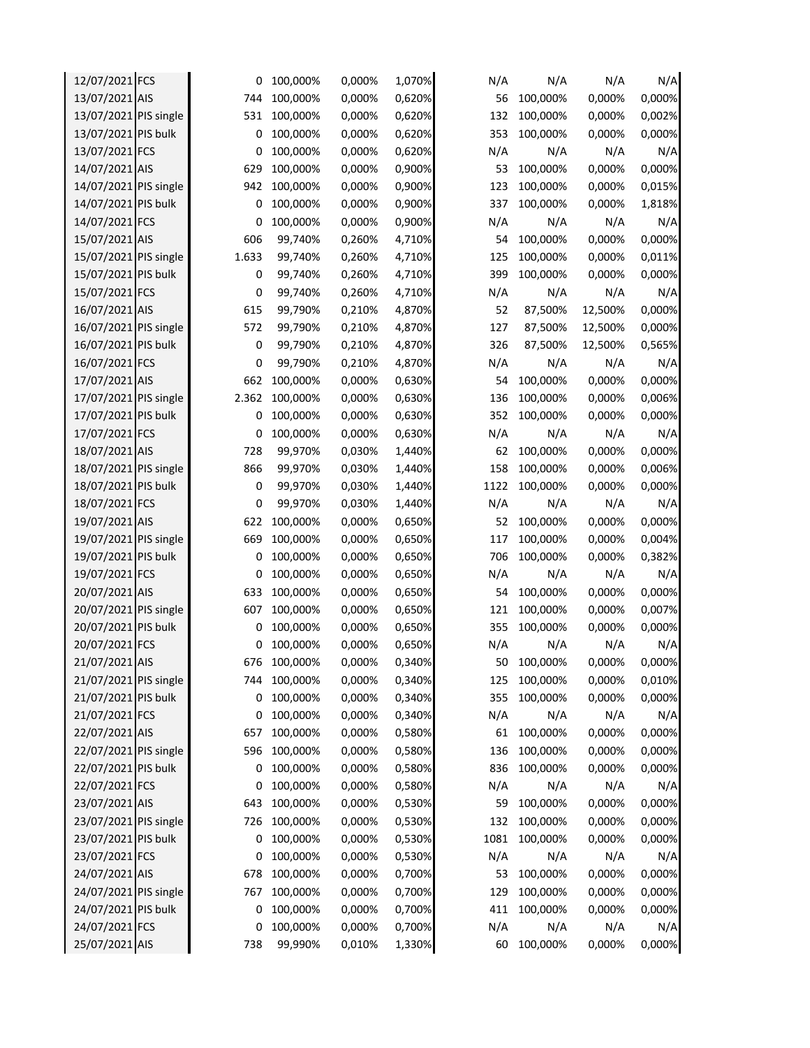| 12/07/2021 FCS        | 0     | 100,000%     | 0,000% | 1,070% | N/A  | N/A      | N/A     | N/A    |
|-----------------------|-------|--------------|--------|--------|------|----------|---------|--------|
| 13/07/2021 AIS        | 744   | 100,000%     | 0,000% | 0,620% | 56   | 100,000% | 0,000%  | 0,000% |
| 13/07/2021 PIS single | 531   | 100,000%     | 0,000% | 0,620% | 132  | 100,000% | 0,000%  | 0,002% |
| 13/07/2021 PIS bulk   | 0     | 100,000%     | 0,000% | 0,620% | 353  | 100,000% | 0,000%  | 0,000% |
| 13/07/2021 FCS        | 0     | 100,000%     | 0,000% | 0,620% | N/A  | N/A      | N/A     | N/A    |
| 14/07/2021 AIS        | 629   | 100,000%     | 0,000% | 0,900% | 53   | 100,000% | 0,000%  | 0,000% |
| 14/07/2021 PIS single | 942   | 100,000%     | 0,000% | 0,900% | 123  | 100,000% | 0,000%  | 0,015% |
| 14/07/2021 PIS bulk   | 0     | 100,000%     | 0,000% | 0,900% | 337  | 100,000% | 0,000%  | 1,818% |
| 14/07/2021 FCS        | 0     | 100,000%     | 0,000% | 0,900% | N/A  | N/A      | N/A     | N/A    |
| 15/07/2021 AIS        | 606   | 99,740%      | 0,260% | 4,710% | 54   | 100,000% | 0,000%  | 0,000% |
| 15/07/2021 PIS single | 1.633 | 99,740%      | 0,260% | 4,710% | 125  | 100,000% | 0,000%  | 0,011% |
| 15/07/2021 PIS bulk   | 0     | 99,740%      | 0,260% | 4,710% | 399  | 100,000% | 0,000%  | 0,000% |
| 15/07/2021 FCS        | 0     | 99,740%      | 0,260% | 4,710% | N/A  | N/A      | N/A     | N/A    |
| 16/07/2021 AIS        | 615   | 99,790%      | 0,210% | 4,870% | 52   | 87,500%  | 12,500% | 0,000% |
| 16/07/2021 PIS single | 572   | 99,790%      | 0,210% | 4,870% | 127  | 87,500%  | 12,500% | 0,000% |
| 16/07/2021 PIS bulk   | 0     | 99,790%      | 0,210% | 4,870% | 326  | 87,500%  | 12,500% | 0,565% |
| 16/07/2021 FCS        | 0     | 99,790%      | 0,210% | 4,870% | N/A  | N/A      | N/A     | N/A    |
| 17/07/2021 AIS        | 662   | 100,000%     | 0,000% | 0,630% | 54   | 100,000% | 0,000%  | 0,000% |
| 17/07/2021 PIS single | 2.362 | 100,000%     | 0,000% | 0,630% | 136  | 100,000% | 0,000%  | 0,006% |
| 17/07/2021 PIS bulk   | 0     | 100,000%     | 0,000% | 0,630% | 352  | 100,000% | 0,000%  | 0,000% |
| 17/07/2021 FCS        | 0     | 100,000%     | 0,000% | 0,630% | N/A  | N/A      | N/A     | N/A    |
| 18/07/2021 AIS        | 728   | 99,970%      | 0,030% | 1,440% | 62   | 100,000% | 0,000%  | 0,000% |
| 18/07/2021 PIS single | 866   | 99,970%      | 0,030% | 1,440% | 158  | 100,000% | 0,000%  | 0,006% |
| 18/07/2021 PIS bulk   | 0     | 99,970%      | 0,030% | 1,440% | 1122 | 100,000% | 0,000%  | 0,000% |
| 18/07/2021 FCS        | 0     | 99,970%      | 0,030% | 1,440% | N/A  | N/A      | N/A     | N/A    |
| 19/07/2021 AIS        | 622   | 100,000%     | 0,000% | 0,650% | 52   | 100,000% | 0,000%  | 0,000% |
| 19/07/2021 PIS single | 669   | 100,000%     | 0,000% | 0,650% | 117  | 100,000% | 0,000%  | 0,004% |
| 19/07/2021 PIS bulk   | 0     | 100,000%     | 0,000% | 0,650% | 706  | 100,000% | 0,000%  | 0,382% |
| 19/07/2021 FCS        | 0     | 100,000%     | 0,000% | 0,650% | N/A  | N/A      | N/A     | N/A    |
| 20/07/2021 AIS        | 633   | 100,000%     | 0,000% | 0,650% | 54   | 100,000% | 0,000%  | 0,000% |
| 20/07/2021 PIS single | 607   | 100,000%     | 0,000% | 0,650% | 121  | 100,000% | 0,000%  | 0,007% |
| 20/07/2021 PIS bulk   | 0     | 100,000%     | 0,000% | 0,650% | 355  | 100,000% | 0,000%  | 0,000% |
| 20/07/2021 FCS        | 0     | 100,000%     | 0,000% | 0,650% | N/A  | N/A      | N/A     | N/A    |
| 21/07/2021 AIS        |       | 676 100,000% | 0,000% | 0,340% | 50   | 100,000% | 0,000%  | 0,000% |
| 21/07/2021 PIS single | 744   | 100,000%     | 0,000% | 0,340% | 125  | 100,000% | 0,000%  | 0,010% |
| 21/07/2021 PIS bulk   | 0     | 100,000%     | 0,000% | 0,340% | 355  | 100,000% | 0,000%  | 0,000% |
| 21/07/2021 FCS        | 0     | 100,000%     | 0,000% | 0,340% | N/A  | N/A      | N/A     | N/A    |
| 22/07/2021 AIS        | 657   | 100,000%     | 0,000% | 0,580% | 61   | 100,000% | 0,000%  | 0,000% |
| 22/07/2021 PIS single | 596   | 100,000%     | 0,000% | 0,580% | 136  | 100,000% | 0,000%  | 0,000% |
| 22/07/2021 PIS bulk   | 0     | 100,000%     | 0,000% | 0,580% | 836  | 100,000% | 0,000%  | 0,000% |
| 22/07/2021 FCS        | 0     | 100,000%     | 0,000% | 0,580% | N/A  | N/A      | N/A     | N/A    |
| 23/07/2021 AIS        | 643   | 100,000%     | 0,000% | 0,530% | 59   | 100,000% | 0,000%  | 0,000% |
| 23/07/2021 PIS single | 726   | 100,000%     | 0,000% | 0,530% | 132  | 100,000% | 0,000%  | 0,000% |
| 23/07/2021 PIS bulk   | 0     | 100,000%     | 0,000% | 0,530% | 1081 | 100,000% | 0,000%  | 0,000% |
| 23/07/2021 FCS        | 0     | 100,000%     | 0,000% | 0,530% | N/A  | N/A      | N/A     | N/A    |
| 24/07/2021 AIS        | 678   | 100,000%     | 0,000% | 0,700% | 53   | 100,000% | 0,000%  | 0,000% |
| 24/07/2021 PIS single | 767   | 100,000%     | 0,000% | 0,700% | 129  | 100,000% | 0,000%  | 0,000% |
| 24/07/2021 PIS bulk   | 0     | 100,000%     | 0,000% | 0,700% | 411  | 100,000% | 0,000%  | 0,000% |
| 24/07/2021 FCS        | 0     | 100,000%     | 0,000% | 0,700% | N/A  | N/A      | N/A     | N/A    |
| 25/07/2021 AIS        | 738   | 99,990%      | 0,010% | 1,330% | 60   | 100,000% | 0,000%  | 0,000% |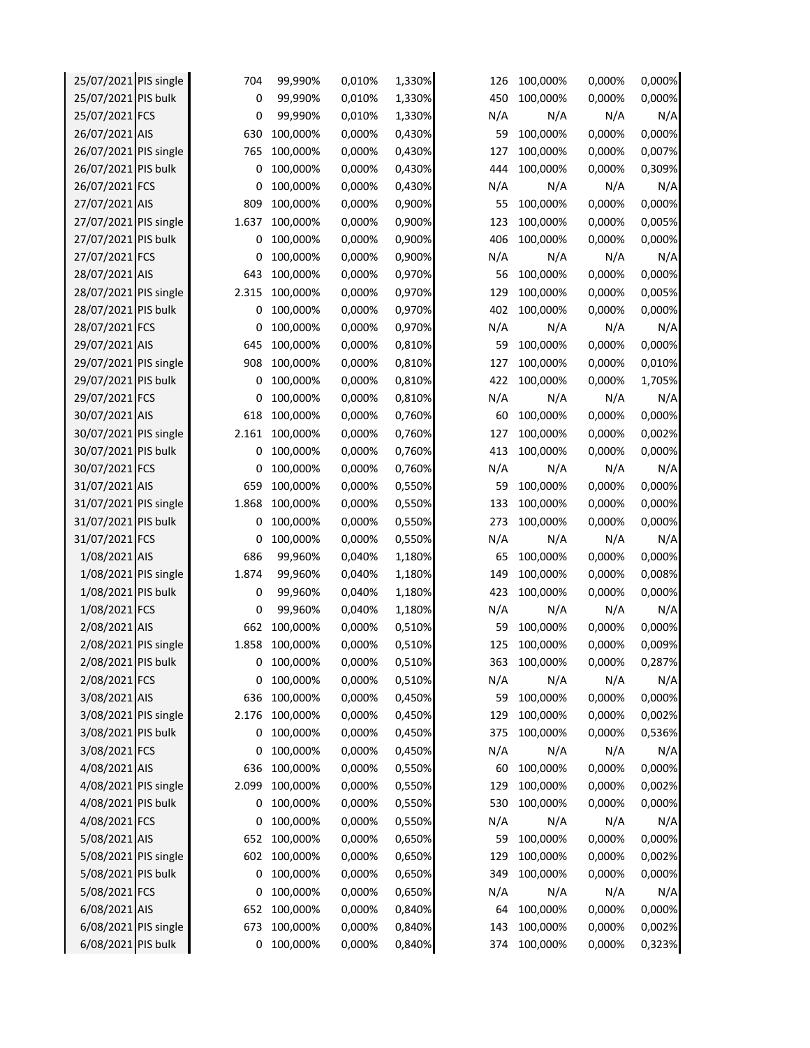| 25/07/2021 PIS single | 704   | 99,990%  | 0,010% | 1,330% | 126 | 100,000% | 0,000% | 0,000% |
|-----------------------|-------|----------|--------|--------|-----|----------|--------|--------|
| 25/07/2021 PIS bulk   | 0     | 99,990%  | 0,010% | 1,330% | 450 | 100,000% | 0,000% | 0,000% |
| 25/07/2021 FCS        | 0     | 99,990%  | 0,010% | 1,330% | N/A | N/A      | N/A    | N/A    |
| 26/07/2021 AIS        | 630   | 100,000% | 0,000% | 0,430% | 59  | 100,000% | 0,000% | 0,000% |
| 26/07/2021 PIS single | 765   | 100,000% | 0,000% | 0,430% | 127 | 100,000% | 0,000% | 0,007% |
| 26/07/2021 PIS bulk   | 0     | 100,000% | 0,000% | 0,430% | 444 | 100,000% | 0,000% | 0,309% |
| 26/07/2021 FCS        | 0     | 100,000% | 0,000% | 0,430% | N/A | N/A      | N/A    | N/A    |
| 27/07/2021 AIS        | 809   | 100,000% | 0,000% | 0,900% | 55  | 100,000% | 0,000% | 0,000% |
| 27/07/2021 PIS single | 1.637 | 100,000% | 0,000% | 0,900% | 123 | 100,000% | 0,000% | 0,005% |
| 27/07/2021 PIS bulk   | 0     | 100,000% | 0,000% | 0,900% | 406 | 100,000% | 0,000% | 0,000% |
| 27/07/2021 FCS        | 0     | 100,000% | 0,000% | 0,900% | N/A | N/A      | N/A    | N/A    |
| 28/07/2021 AIS        | 643   | 100,000% | 0,000% | 0,970% | 56  | 100,000% | 0,000% | 0,000% |
| 28/07/2021 PIS single | 2.315 | 100,000% | 0,000% | 0,970% | 129 | 100,000% | 0,000% | 0,005% |
| 28/07/2021 PIS bulk   | 0     | 100,000% | 0,000% | 0,970% | 402 | 100,000% | 0,000% | 0,000% |
| 28/07/2021 FCS        | 0     | 100,000% | 0,000% | 0,970% | N/A | N/A      | N/A    | N/A    |
| 29/07/2021 AIS        | 645   | 100,000% | 0,000% | 0,810% | 59  | 100,000% | 0,000% | 0,000% |
| 29/07/2021 PIS single | 908   | 100,000% | 0,000% | 0,810% | 127 | 100,000% | 0,000% | 0,010% |
| 29/07/2021 PIS bulk   | 0     | 100,000% | 0,000% | 0,810% | 422 | 100,000% | 0,000% | 1,705% |
| 29/07/2021 FCS        | 0     | 100,000% | 0,000% | 0,810% | N/A | N/A      | N/A    | N/A    |
| 30/07/2021 AIS        | 618   | 100,000% | 0,000% | 0,760% | 60  | 100,000% | 0,000% | 0,000% |
| 30/07/2021 PIS single | 2.161 | 100,000% | 0,000% | 0,760% | 127 | 100,000% | 0,000% | 0,002% |
| 30/07/2021 PIS bulk   | 0     | 100,000% | 0,000% | 0,760% | 413 | 100,000% | 0,000% | 0,000% |
| 30/07/2021 FCS        | 0     | 100,000% | 0,000% | 0,760% | N/A | N/A      | N/A    | N/A    |
| 31/07/2021 AIS        | 659   | 100,000% | 0,000% | 0,550% | 59  | 100,000% | 0,000% | 0,000% |
| 31/07/2021 PIS single | 1.868 | 100,000% | 0,000% | 0,550% | 133 | 100,000% | 0,000% | 0,000% |
| 31/07/2021 PIS bulk   | 0     | 100,000% | 0,000% | 0,550% | 273 | 100,000% | 0,000% | 0,000% |
| 31/07/2021 FCS        | 0     | 100,000% | 0,000% | 0,550% | N/A | N/A      | N/A    | N/A    |
| 1/08/2021 AIS         | 686   | 99,960%  | 0,040% | 1,180% | 65  | 100,000% | 0,000% | 0,000% |
| 1/08/2021 PIS single  | 1.874 | 99,960%  | 0,040% | 1,180% | 149 | 100,000% | 0,000% | 0,008% |
| 1/08/2021 PIS bulk    | 0     | 99,960%  | 0,040% | 1,180% | 423 | 100,000% | 0,000% | 0,000% |
| 1/08/2021 FCS         | 0     | 99,960%  | 0,040% | 1,180% | N/A | N/A      | N/A    | N/A    |
| 2/08/2021 AIS         | 662   | 100,000% | 0,000% | 0,510% | 59  | 100,000% | 0,000% | 0,000% |
| 2/08/2021 PIS single  | 1.858 | 100,000% | 0,000% | 0,510% | 125 | 100,000% | 0,000% | 0,009% |
| 2/08/2021 PIS bulk    | 0     | 100,000% | 0,000% | 0,510% | 363 | 100,000% | 0,000% | 0,287% |
| 2/08/2021 FCS         | 0     | 100,000% | 0,000% | 0,510% | N/A | N/A      | N/A    | N/A    |
| 3/08/2021 AIS         | 636   | 100,000% | 0,000% | 0,450% | 59  | 100,000% | 0,000% | 0,000% |
| 3/08/2021 PIS single  | 2.176 | 100,000% | 0,000% | 0,450% | 129 | 100,000% | 0,000% | 0,002% |
| 3/08/2021 PIS bulk    | 0     | 100,000% | 0,000% | 0,450% | 375 | 100,000% | 0,000% | 0,536% |
| 3/08/2021 FCS         | 0     | 100,000% | 0,000% | 0,450% | N/A | N/A      | N/A    | N/A    |
| 4/08/2021 AIS         | 636   | 100,000% | 0,000% | 0,550% | 60  | 100,000% | 0,000% | 0,000% |
| 4/08/2021 PIS single  | 2.099 | 100,000% | 0,000% | 0,550% | 129 | 100,000% | 0,000% | 0,002% |
| 4/08/2021 PIS bulk    | 0     | 100,000% | 0,000% | 0,550% | 530 | 100,000% | 0,000% | 0,000% |
| 4/08/2021 FCS         | 0     | 100,000% | 0,000% | 0,550% | N/A | N/A      | N/A    | N/A    |
| 5/08/2021 AIS         | 652   | 100,000% | 0,000% | 0,650% | 59  | 100,000% | 0,000% | 0,000% |
| 5/08/2021 PIS single  | 602   | 100,000% | 0,000% | 0,650% | 129 | 100,000% | 0,000% | 0,002% |
| 5/08/2021 PIS bulk    | 0     | 100,000% | 0,000% | 0,650% | 349 | 100,000% | 0,000% | 0,000% |
| 5/08/2021 FCS         | 0     | 100,000% | 0,000% | 0,650% | N/A | N/A      | N/A    | N/A    |
| 6/08/2021 AIS         | 652   | 100,000% | 0,000% | 0,840% | 64  | 100,000% | 0,000% | 0,000% |
| 6/08/2021 PIS single  | 673   | 100,000% | 0,000% | 0,840% | 143 | 100,000% | 0,000% | 0,002% |
| 6/08/2021 PIS bulk    | 0     | 100,000% | 0,000% | 0,840% | 374 | 100,000% | 0,000% | 0,323% |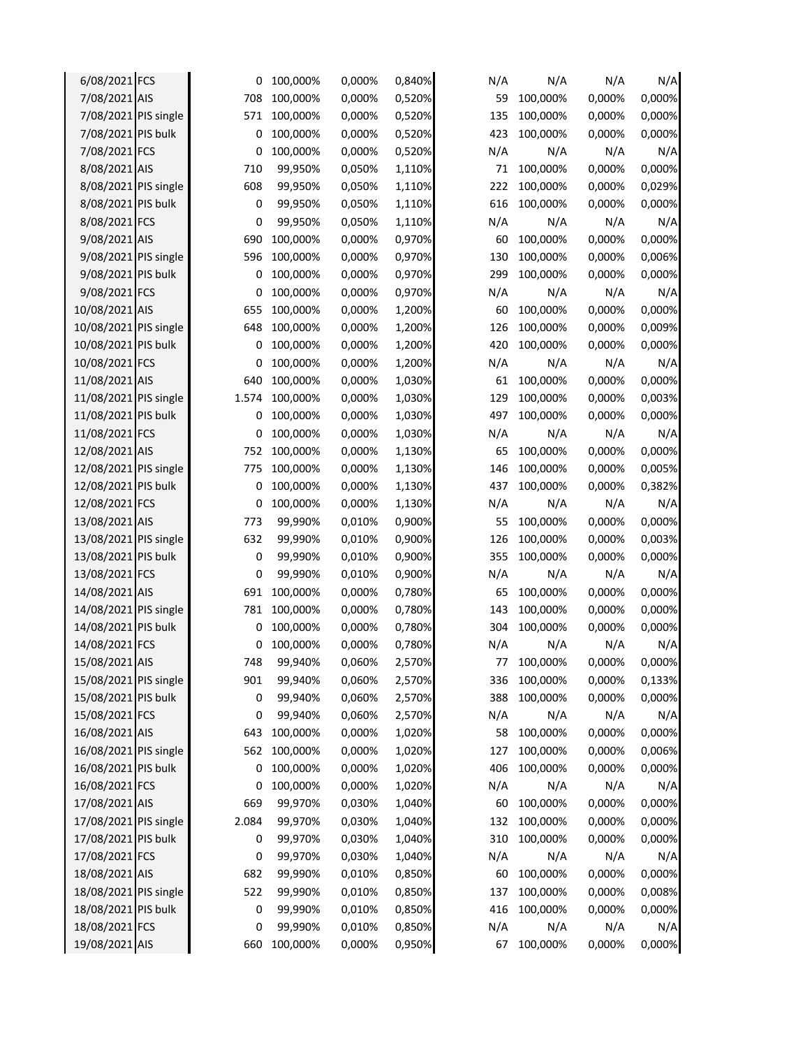| 6/08/2021 FCS         | 0     | 100,000% | 0,000% | 0,840% | N/A | N/A      | N/A    | N/A    |
|-----------------------|-------|----------|--------|--------|-----|----------|--------|--------|
| 7/08/2021 AIS         | 708   | 100,000% | 0,000% | 0,520% | 59  | 100,000% | 0,000% | 0,000% |
| 7/08/2021 PIS single  | 571   | 100,000% | 0,000% | 0,520% | 135 | 100,000% | 0,000% | 0,000% |
| 7/08/2021 PIS bulk    | 0     | 100,000% | 0,000% | 0,520% | 423 | 100,000% | 0,000% | 0,000% |
| 7/08/2021 FCS         | 0     | 100,000% | 0,000% | 0,520% | N/A | N/A      | N/A    | N/A    |
| 8/08/2021 AIS         | 710   | 99,950%  | 0,050% | 1,110% | 71  | 100,000% | 0,000% | 0,000% |
| 8/08/2021 PIS single  | 608   | 99,950%  | 0,050% | 1,110% | 222 | 100,000% | 0,000% | 0,029% |
| 8/08/2021 PIS bulk    | 0     | 99,950%  | 0,050% | 1,110% | 616 | 100,000% | 0,000% | 0,000% |
| 8/08/2021 FCS         | 0     | 99,950%  | 0,050% | 1,110% | N/A | N/A      | N/A    | N/A    |
| 9/08/2021 AIS         | 690   | 100,000% | 0,000% | 0,970% | 60  | 100,000% | 0,000% | 0,000% |
| 9/08/2021 PIS single  | 596   | 100,000% | 0,000% | 0,970% | 130 | 100,000% | 0,000% | 0,006% |
| 9/08/2021 PIS bulk    | 0     | 100,000% | 0,000% | 0,970% | 299 | 100,000% | 0,000% | 0,000% |
| 9/08/2021 FCS         | 0     | 100,000% | 0,000% | 0,970% | N/A | N/A      | N/A    | N/A    |
| 10/08/2021 AIS        | 655   | 100,000% | 0,000% | 1,200% | 60  | 100,000% | 0,000% | 0,000% |
| 10/08/2021 PIS single | 648   | 100,000% | 0,000% | 1,200% | 126 | 100,000% | 0,000% | 0,009% |
| 10/08/2021 PIS bulk   | 0     | 100,000% | 0,000% | 1,200% | 420 | 100,000% | 0,000% | 0,000% |
| 10/08/2021 FCS        | 0     | 100,000% | 0,000% | 1,200% | N/A | N/A      | N/A    | N/A    |
| 11/08/2021 AIS        | 640   | 100,000% | 0,000% | 1,030% | 61  | 100,000% | 0,000% | 0,000% |
| 11/08/2021 PIS single | 1.574 | 100,000% | 0,000% | 1,030% | 129 | 100,000% | 0,000% | 0,003% |
| 11/08/2021 PIS bulk   | 0     | 100,000% | 0,000% | 1,030% | 497 | 100,000% | 0,000% | 0,000% |
| 11/08/2021 FCS        | 0     | 100,000% | 0,000% | 1,030% | N/A | N/A      | N/A    | N/A    |
| 12/08/2021 AIS        | 752   | 100,000% | 0,000% | 1,130% | 65  | 100,000% | 0,000% | 0,000% |
| 12/08/2021 PIS single | 775   | 100,000% | 0,000% | 1,130% | 146 | 100,000% | 0,000% | 0,005% |
| 12/08/2021 PIS bulk   | 0     | 100,000% | 0,000% | 1,130% | 437 | 100,000% | 0,000% | 0,382% |
| 12/08/2021 FCS        | 0     | 100,000% | 0,000% | 1,130% | N/A | N/A      | N/A    | N/A    |
| 13/08/2021 AIS        | 773   | 99,990%  | 0,010% | 0,900% | 55  | 100,000% | 0,000% | 0,000% |
| 13/08/2021 PIS single | 632   | 99,990%  | 0,010% | 0,900% | 126 | 100,000% | 0,000% | 0,003% |
| 13/08/2021 PIS bulk   | 0     | 99,990%  | 0,010% | 0,900% | 355 | 100,000% | 0,000% | 0,000% |
| 13/08/2021 FCS        | 0     | 99,990%  | 0,010% | 0,900% | N/A | N/A      | N/A    | N/A    |
| 14/08/2021 AIS        | 691   | 100,000% | 0,000% | 0,780% | 65  | 100,000% | 0,000% | 0,000% |
| 14/08/2021 PIS single | 781   | 100,000% | 0,000% | 0,780% | 143 | 100,000% | 0,000% | 0,000% |
| 14/08/2021 PIS bulk   | 0     | 100,000% | 0,000% | 0,780% | 304 | 100,000% | 0,000% | 0,000% |
| 14/08/2021 FCS        | 0     | 100,000% | 0,000% | 0,780% | N/A | N/A      | N/A    | N/A    |
| 15/08/2021 AIS        | 748   | 99,940%  | 0,060% | 2,570% | 77  | 100,000% | 0,000% | 0,000% |
| 15/08/2021 PIS single | 901   | 99,940%  | 0,060% | 2,570% | 336 | 100,000% | 0,000% | 0,133% |
| 15/08/2021 PIS bulk   | 0     | 99,940%  | 0,060% | 2,570% | 388 | 100,000% | 0,000% | 0,000% |
| 15/08/2021 FCS        | 0     | 99,940%  | 0,060% | 2,570% | N/A | N/A      | N/A    | N/A    |
| 16/08/2021 AIS        | 643   | 100,000% | 0,000% | 1,020% | 58  | 100,000% | 0,000% | 0,000% |
| 16/08/2021 PIS single | 562   | 100,000% | 0,000% | 1,020% | 127 | 100,000% | 0,000% | 0,006% |
| 16/08/2021 PIS bulk   | 0     | 100,000% | 0,000% | 1,020% | 406 | 100,000% | 0,000% | 0,000% |
| 16/08/2021 FCS        | 0     | 100,000% | 0,000% | 1,020% | N/A | N/A      | N/A    | N/A    |
| 17/08/2021 AIS        | 669   | 99,970%  | 0,030% | 1,040% | 60  | 100,000% | 0,000% | 0,000% |
| 17/08/2021 PIS single | 2.084 | 99,970%  | 0,030% | 1,040% | 132 | 100,000% | 0,000% | 0,000% |
| 17/08/2021 PIS bulk   | 0     | 99,970%  | 0,030% | 1,040% | 310 | 100,000% | 0,000% | 0,000% |
| 17/08/2021 FCS        | 0     | 99,970%  | 0,030% | 1,040% | N/A | N/A      | N/A    | N/A    |
| 18/08/2021 AIS        | 682   | 99,990%  | 0,010% | 0,850% | 60  | 100,000% | 0,000% | 0,000% |
| 18/08/2021 PIS single | 522   | 99,990%  | 0,010% | 0,850% | 137 | 100,000% | 0,000% | 0,008% |
| 18/08/2021 PIS bulk   | 0     | 99,990%  | 0,010% | 0,850% | 416 | 100,000% | 0,000% | 0,000% |
| 18/08/2021 FCS        | 0     | 99,990%  | 0,010% | 0,850% | N/A | N/A      | N/A    | N/A    |
| 19/08/2021 AIS        | 660   | 100,000% | 0,000% | 0,950% | 67  | 100,000% | 0,000% | 0,000% |
|                       |       |          |        |        |     |          |        |        |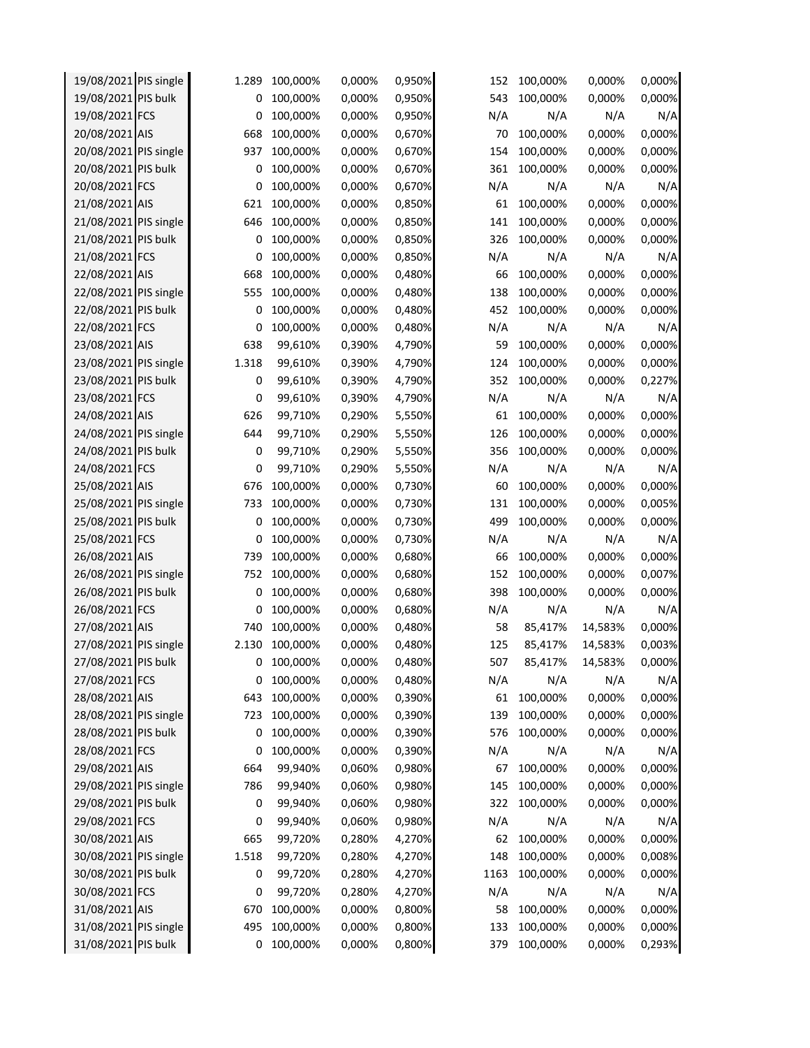| 19/08/2021 PIS single | 1.289 | 100,000% | 0,000% | 0,950% | 152  | 100,000% | 0,000%  | 0,000% |
|-----------------------|-------|----------|--------|--------|------|----------|---------|--------|
| 19/08/2021 PIS bulk   | 0     | 100,000% | 0,000% | 0,950% | 543  | 100,000% | 0,000%  | 0,000% |
| 19/08/2021 FCS        | 0     | 100,000% | 0,000% | 0,950% | N/A  | N/A      | N/A     | N/A    |
| 20/08/2021 AIS        | 668   | 100,000% | 0,000% | 0,670% | 70   | 100,000% | 0,000%  | 0,000% |
| 20/08/2021 PIS single | 937   | 100,000% | 0,000% | 0,670% | 154  | 100,000% | 0,000%  | 0,000% |
| 20/08/2021 PIS bulk   | 0     | 100,000% | 0,000% | 0,670% | 361  | 100,000% | 0,000%  | 0,000% |
| 20/08/2021 FCS        | 0     | 100,000% | 0,000% | 0,670% | N/A  | N/A      | N/A     | N/A    |
| 21/08/2021 AIS        | 621   | 100,000% | 0,000% | 0,850% | 61   | 100,000% | 0,000%  | 0,000% |
| 21/08/2021 PIS single | 646   | 100,000% | 0,000% | 0,850% | 141  | 100,000% | 0,000%  | 0,000% |
| 21/08/2021 PIS bulk   | 0     | 100,000% | 0,000% | 0,850% | 326  | 100,000% | 0,000%  | 0,000% |
| 21/08/2021 FCS        | 0     | 100,000% | 0,000% | 0,850% | N/A  | N/A      | N/A     | N/A    |
| 22/08/2021 AIS        | 668   | 100,000% | 0,000% | 0,480% | 66   | 100,000% | 0,000%  | 0,000% |
| 22/08/2021 PIS single | 555   | 100,000% | 0,000% | 0,480% | 138  | 100,000% | 0,000%  | 0,000% |
| 22/08/2021 PIS bulk   | 0     | 100,000% | 0,000% | 0,480% | 452  | 100,000% | 0,000%  | 0,000% |
| 22/08/2021 FCS        | 0     | 100,000% | 0,000% | 0,480% | N/A  | N/A      | N/A     | N/A    |
| 23/08/2021 AIS        | 638   | 99,610%  | 0,390% | 4,790% | 59   | 100,000% | 0,000%  | 0,000% |
| 23/08/2021 PIS single | 1.318 | 99,610%  | 0,390% | 4,790% | 124  | 100,000% | 0,000%  | 0,000% |
| 23/08/2021 PIS bulk   | 0     | 99,610%  | 0,390% | 4,790% | 352  | 100,000% | 0,000%  | 0,227% |
| 23/08/2021 FCS        | 0     | 99,610%  | 0,390% | 4,790% | N/A  | N/A      | N/A     | N/A    |
| 24/08/2021 AIS        | 626   | 99,710%  | 0,290% | 5,550% | 61   | 100,000% | 0,000%  | 0,000% |
| 24/08/2021 PIS single | 644   | 99,710%  | 0,290% | 5,550% | 126  | 100,000% | 0,000%  | 0,000% |
| 24/08/2021 PIS bulk   | 0     | 99,710%  | 0,290% | 5,550% | 356  | 100,000% | 0,000%  | 0,000% |
| 24/08/2021 FCS        | 0     | 99,710%  | 0,290% | 5,550% | N/A  | N/A      | N/A     | N/A    |
| 25/08/2021 AIS        | 676   | 100,000% | 0,000% | 0,730% | 60   | 100,000% | 0,000%  | 0,000% |
| 25/08/2021 PIS single | 733   | 100,000% | 0,000% | 0,730% | 131  | 100,000% | 0,000%  | 0,005% |
| 25/08/2021 PIS bulk   | 0     | 100,000% | 0,000% | 0,730% | 499  | 100,000% | 0,000%  | 0,000% |
| 25/08/2021 FCS        | 0     | 100,000% | 0,000% | 0,730% | N/A  | N/A      | N/A     | N/A    |
| 26/08/2021 AIS        | 739   | 100,000% | 0,000% | 0,680% | 66   | 100,000% | 0,000%  | 0,000% |
| 26/08/2021 PIS single | 752   | 100,000% | 0,000% | 0,680% | 152  | 100,000% | 0,000%  | 0,007% |
| 26/08/2021 PIS bulk   | 0     | 100,000% | 0,000% | 0,680% | 398  | 100,000% | 0,000%  | 0,000% |
| 26/08/2021 FCS        | 0     | 100,000% | 0,000% | 0,680% | N/A  | N/A      | N/A     | N/A    |
| 27/08/2021 AIS        | 740   | 100,000% | 0,000% | 0,480% | 58   | 85,417%  | 14,583% | 0,000% |
| 27/08/2021 PIS single | 2.130 | 100,000% | 0,000% | 0,480% | 125  | 85,417%  | 14,583% | 0,003% |
| 27/08/2021 PIS bulk   | 0     | 100,000% | 0,000% | 0,480% | 507  | 85,417%  | 14,583% | 0,000% |
| 27/08/2021 FCS        | 0     | 100,000% | 0,000% | 0,480% | N/A  | N/A      | N/A     | N/A    |
| 28/08/2021 AIS        | 643   | 100,000% | 0,000% | 0,390% | 61   | 100,000% | 0,000%  | 0,000% |
| 28/08/2021 PIS single | 723   | 100,000% | 0,000% | 0,390% | 139  | 100,000% | 0,000%  | 0,000% |
| 28/08/2021 PIS bulk   | 0     | 100,000% | 0,000% | 0,390% | 576  | 100,000% | 0,000%  | 0,000% |
| 28/08/2021 FCS        | 0     | 100,000% | 0,000% | 0,390% | N/A  | N/A      | N/A     | N/A    |
| 29/08/2021 AIS        | 664   | 99,940%  | 0,060% | 0,980% | 67   | 100,000% | 0,000%  | 0,000% |
| 29/08/2021 PIS single | 786   | 99,940%  | 0,060% | 0,980% | 145  | 100,000% | 0,000%  | 0,000% |
| 29/08/2021 PIS bulk   | 0     | 99,940%  | 0,060% | 0,980% | 322  | 100,000% | 0,000%  | 0,000% |
| 29/08/2021 FCS        | 0     | 99,940%  | 0,060% | 0,980% | N/A  | N/A      | N/A     | N/A    |
| 30/08/2021 AIS        | 665   | 99,720%  | 0,280% | 4,270% | 62   | 100,000% | 0,000%  | 0,000% |
| 30/08/2021 PIS single | 1.518 | 99,720%  | 0,280% | 4,270% | 148  | 100,000% | 0,000%  | 0,008% |
| 30/08/2021 PIS bulk   | 0     | 99,720%  | 0,280% | 4,270% | 1163 | 100,000% | 0,000%  | 0,000% |
| 30/08/2021 FCS        | 0     | 99,720%  | 0,280% | 4,270% | N/A  | N/A      | N/A     | N/A    |
| 31/08/2021 AIS        | 670   | 100,000% | 0,000% | 0,800% | 58   | 100,000% | 0,000%  | 0,000% |
| 31/08/2021 PIS single | 495   | 100,000% | 0,000% | 0,800% | 133  | 100,000% | 0,000%  | 0,000% |
| 31/08/2021 PIS bulk   | 0     | 100,000% | 0,000% | 0,800% | 379  | 100,000% | 0,000%  | 0,293% |
|                       |       |          |        |        |      |          |         |        |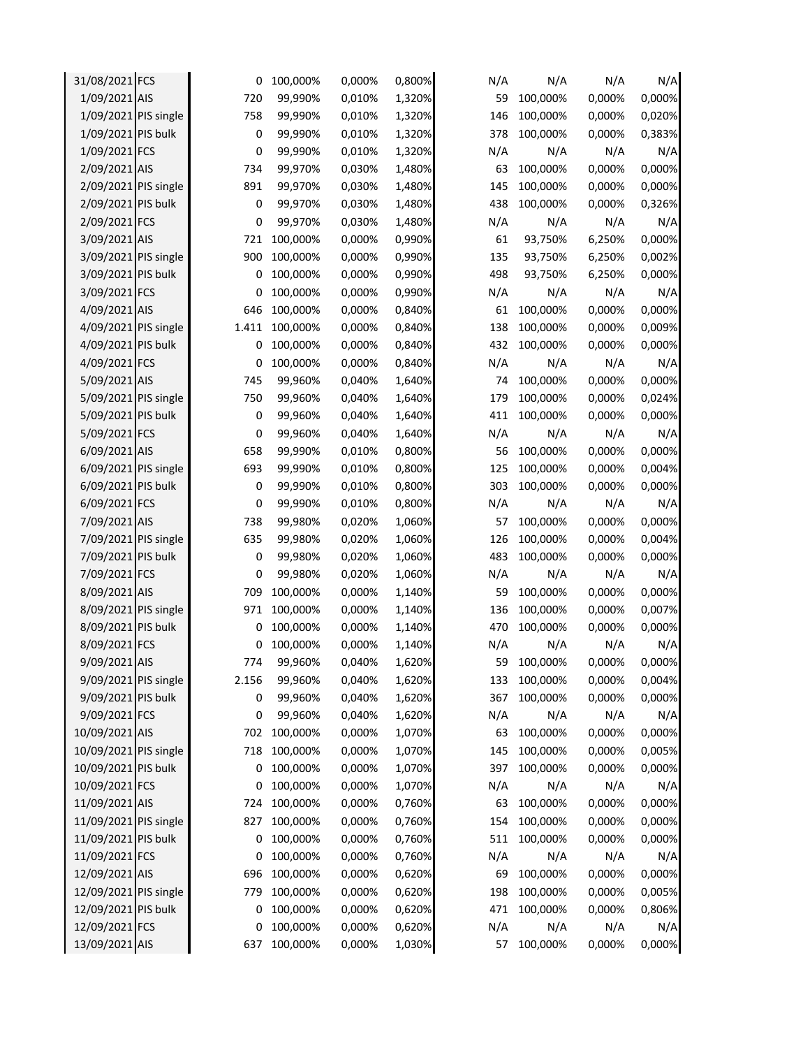| 31/08/2021 FCS        | 0     | 100,000% | 0,000% | 0,800% | N/A | N/A      | N/A    | N/A    |
|-----------------------|-------|----------|--------|--------|-----|----------|--------|--------|
| 1/09/2021 AIS         | 720   | 99,990%  | 0,010% | 1,320% | 59  | 100,000% | 0,000% | 0,000% |
| 1/09/2021 PIS single  | 758   | 99,990%  | 0,010% | 1,320% | 146 | 100,000% | 0,000% | 0,020% |
| 1/09/2021 PIS bulk    | 0     | 99,990%  | 0,010% | 1,320% | 378 | 100,000% | 0,000% | 0,383% |
| 1/09/2021 FCS         | 0     | 99,990%  | 0,010% | 1,320% | N/A | N/A      | N/A    | N/A    |
| 2/09/2021 AIS         | 734   | 99,970%  | 0,030% | 1,480% | 63  | 100,000% | 0,000% | 0,000% |
| 2/09/2021 PIS single  | 891   | 99,970%  | 0,030% | 1,480% | 145 | 100,000% | 0,000% | 0,000% |
| 2/09/2021 PIS bulk    | 0     | 99,970%  | 0,030% | 1,480% | 438 | 100,000% | 0,000% | 0,326% |
| 2/09/2021 FCS         | 0     | 99,970%  | 0,030% | 1,480% | N/A | N/A      | N/A    | N/A    |
| 3/09/2021 AIS         | 721   | 100,000% | 0,000% | 0,990% | 61  | 93,750%  | 6,250% | 0,000% |
| 3/09/2021 PIS single  | 900   | 100,000% | 0,000% | 0,990% | 135 | 93,750%  | 6,250% | 0,002% |
| 3/09/2021 PIS bulk    | 0     | 100,000% | 0,000% | 0,990% | 498 | 93,750%  | 6,250% | 0,000% |
| 3/09/2021 FCS         | 0     | 100,000% | 0,000% | 0,990% | N/A | N/A      | N/A    | N/A    |
| 4/09/2021 AIS         | 646   | 100,000% | 0,000% | 0,840% | 61  | 100,000% | 0,000% | 0,000% |
| 4/09/2021 PIS single  | 1.411 | 100,000% | 0,000% | 0,840% | 138 | 100,000% | 0,000% | 0,009% |
| 4/09/2021 PIS bulk    | 0     | 100,000% | 0,000% | 0,840% | 432 | 100,000% | 0,000% | 0,000% |
| 4/09/2021 FCS         | 0     | 100,000% | 0,000% | 0,840% | N/A | N/A      | N/A    | N/A    |
| 5/09/2021 AIS         | 745   | 99,960%  | 0,040% | 1,640% | 74  | 100,000% | 0,000% | 0,000% |
| 5/09/2021 PIS single  | 750   | 99,960%  | 0,040% | 1,640% | 179 | 100,000% | 0,000% | 0,024% |
| 5/09/2021 PIS bulk    | 0     | 99,960%  | 0,040% | 1,640% | 411 | 100,000% | 0,000% | 0,000% |
| 5/09/2021 FCS         | 0     | 99,960%  | 0,040% | 1,640% | N/A | N/A      | N/A    | N/A    |
| 6/09/2021 AIS         | 658   | 99,990%  | 0,010% | 0,800% | 56  | 100,000% | 0,000% | 0,000% |
| 6/09/2021 PIS single  | 693   | 99,990%  | 0,010% | 0,800% | 125 | 100,000% | 0,000% | 0,004% |
| 6/09/2021 PIS bulk    | 0     | 99,990%  | 0,010% | 0,800% | 303 | 100,000% | 0,000% | 0,000% |
| 6/09/2021 FCS         | 0     | 99,990%  | 0,010% | 0,800% | N/A | N/A      | N/A    | N/A    |
| 7/09/2021 AIS         | 738   | 99,980%  | 0,020% | 1,060% | 57  | 100,000% | 0,000% | 0,000% |
| 7/09/2021 PIS single  | 635   | 99,980%  | 0,020% | 1,060% | 126 | 100,000% | 0,000% | 0,004% |
| 7/09/2021 PIS bulk    | 0     | 99,980%  | 0,020% | 1,060% | 483 | 100,000% | 0,000% | 0,000% |
| 7/09/2021 FCS         | 0     | 99,980%  | 0,020% | 1,060% | N/A | N/A      | N/A    | N/A    |
| 8/09/2021 AIS         | 709   | 100,000% | 0,000% | 1,140% | 59  | 100,000% | 0,000% | 0,000% |
| 8/09/2021 PIS single  | 971   | 100,000% | 0,000% | 1,140% | 136 | 100,000% | 0,000% | 0,007% |
| 8/09/2021 PIS bulk    | 0     | 100,000% | 0,000% | 1,140% | 470 | 100,000% | 0,000% | 0,000% |
| 8/09/2021 FCS         | 0     | 100,000% | 0,000% | 1,140% | N/A | N/A      | N/A    | N/A    |
| 9/09/2021 AIS         | 774   | 99,960%  | 0,040% | 1,620% | 59  | 100,000% | 0,000% | 0,000% |
| 9/09/2021 PIS single  | 2.156 | 99,960%  | 0,040% | 1,620% | 133 | 100,000% | 0,000% | 0,004% |
| 9/09/2021 PIS bulk    | 0     | 99,960%  | 0,040% | 1,620% | 367 | 100,000% | 0,000% | 0,000% |
| 9/09/2021 FCS         | 0     | 99,960%  | 0,040% | 1,620% | N/A | N/A      | N/A    | N/A    |
| 10/09/2021 AIS        | 702   | 100,000% | 0,000% | 1,070% | 63  | 100,000% | 0,000% | 0,000% |
| 10/09/2021 PIS single | 718   | 100,000% | 0,000% | 1,070% | 145 | 100,000% | 0,000% | 0,005% |
| 10/09/2021 PIS bulk   | 0     | 100,000% | 0,000% | 1,070% | 397 | 100,000% | 0,000% | 0,000% |
| 10/09/2021 FCS        | 0     | 100,000% | 0,000% | 1,070% | N/A | N/A      | N/A    | N/A    |
| 11/09/2021 AIS        | 724   | 100,000% | 0,000% | 0,760% | 63  | 100,000% | 0,000% | 0,000% |
| 11/09/2021 PIS single | 827   | 100,000% | 0,000% | 0,760% | 154 | 100,000% | 0,000% | 0,000% |
| 11/09/2021 PIS bulk   | 0     | 100,000% | 0,000% | 0,760% | 511 | 100,000% | 0,000% | 0,000% |
| 11/09/2021 FCS        | 0     | 100,000% | 0,000% | 0,760% | N/A | N/A      | N/A    | N/A    |
| 12/09/2021 AIS        | 696   | 100,000% | 0,000% | 0,620% | 69  | 100,000% | 0,000% | 0,000% |
| 12/09/2021 PIS single | 779   | 100,000% | 0,000% | 0,620% | 198 | 100,000% | 0,000% | 0,005% |
| 12/09/2021 PIS bulk   | 0     | 100,000% | 0,000% | 0,620% | 471 | 100,000% | 0,000% | 0,806% |
| 12/09/2021 FCS        | 0     | 100,000% | 0,000% | 0,620% | N/A | N/A      | N/A    | N/A    |
| 13/09/2021 AIS        | 637   | 100,000% | 0,000% | 1,030% | 57  | 100,000% | 0,000% | 0,000% |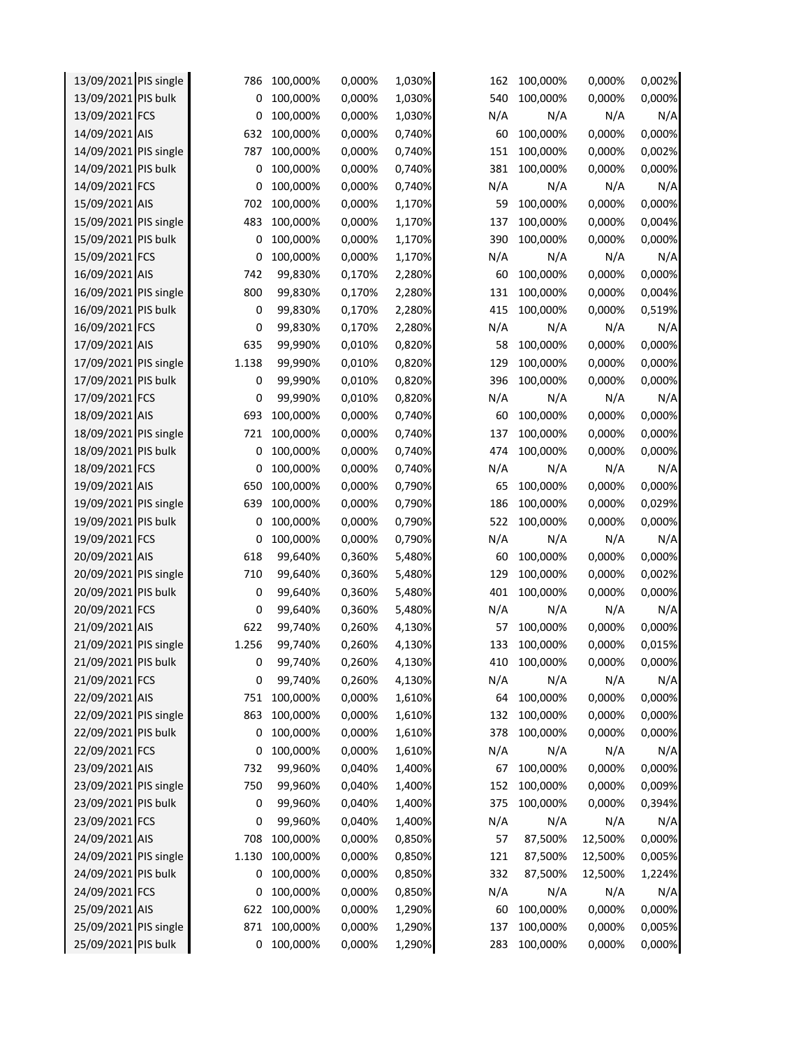| 13/09/2021 PIS bulk<br>100,000%<br>0,000%<br>1,030%<br>540<br>100,000%<br>0<br>0,000%<br>13/09/2021 FCS<br>100,000%<br>0,000%<br>1,030%<br>N/A<br>N/A<br>N/A<br>0<br>14/09/2021 AIS<br>632<br>100,000%<br>0,740%<br>100,000%<br>0,000%<br>0,000%<br>60<br>14/09/2021 PIS single<br>151<br>787<br>100,000%<br>0,000%<br>0,740%<br>100,000%<br>0,000%<br>14/09/2021 PIS bulk<br>0,740%<br>381<br>100,000%<br>0,000%<br>0<br>100,000%<br>0,000% | 0,000%           |
|----------------------------------------------------------------------------------------------------------------------------------------------------------------------------------------------------------------------------------------------------------------------------------------------------------------------------------------------------------------------------------------------------------------------------------------------|------------------|
|                                                                                                                                                                                                                                                                                                                                                                                                                                              |                  |
|                                                                                                                                                                                                                                                                                                                                                                                                                                              | N/A              |
|                                                                                                                                                                                                                                                                                                                                                                                                                                              | 0,000%           |
|                                                                                                                                                                                                                                                                                                                                                                                                                                              | 0,002%           |
|                                                                                                                                                                                                                                                                                                                                                                                                                                              | 0,000%           |
| 14/09/2021 FCS<br>100,000%<br>0,000%<br>0,740%<br>N/A<br>N/A<br>0<br>N/A                                                                                                                                                                                                                                                                                                                                                                     | N/A              |
| 15/09/2021 AIS<br>702<br>100,000%<br>0,000%<br>1,170%<br>59<br>100,000%<br>0,000%                                                                                                                                                                                                                                                                                                                                                            | 0,000%           |
| 15/09/2021 PIS single<br>483<br>100,000%<br>137<br>100,000%<br>0,000%<br>0,000%<br>1,170%                                                                                                                                                                                                                                                                                                                                                    | 0,004%           |
| 15/09/2021 PIS bulk<br>100,000%<br>1,170%<br>390<br>100,000%<br>0,000%<br>0<br>0,000%                                                                                                                                                                                                                                                                                                                                                        | 0,000%           |
| N/A<br>15/09/2021 FCS<br>100,000%<br>1,170%<br>N/A<br>N/A<br>0<br>0,000%                                                                                                                                                                                                                                                                                                                                                                     | N/A              |
| 16/09/2021 AIS<br>742<br>100,000%<br>99,830%<br>0,170%<br>2,280%<br>60<br>0,000%                                                                                                                                                                                                                                                                                                                                                             | 0,000%           |
| 16/09/2021 PIS single<br>800<br>2,280%<br>131<br>100,000%<br>0,000%<br>99,830%<br>0,170%                                                                                                                                                                                                                                                                                                                                                     | 0,004%           |
| 16/09/2021 PIS bulk<br>2,280%<br>415<br>0<br>99,830%<br>0,170%<br>100,000%<br>0,000%                                                                                                                                                                                                                                                                                                                                                         | 0,519%           |
| 16/09/2021 FCS<br>0<br>2,280%<br>N/A<br>N/A<br>N/A<br>99,830%<br>0,170%                                                                                                                                                                                                                                                                                                                                                                      | N/A              |
| 17/09/2021 AIS<br>635<br>0,820%<br>0,000%<br>99,990%<br>0,010%<br>58<br>100,000%                                                                                                                                                                                                                                                                                                                                                             | 0,000%           |
| 17/09/2021 PIS single<br>1.138<br>99,990%<br>0,010%<br>0,820%<br>129<br>100,000%<br>0,000%                                                                                                                                                                                                                                                                                                                                                   | 0,000%           |
| 17/09/2021 PIS bulk<br>0<br>0,010%<br>0,820%<br>396<br>100,000%<br>0,000%<br>99,990%                                                                                                                                                                                                                                                                                                                                                         | 0,000%           |
| N/A<br>0<br>99,990%<br>0,820%<br>N/A<br>N/A<br>17/09/2021 FCS<br>0,010%                                                                                                                                                                                                                                                                                                                                                                      | N/A              |
| 18/09/2021 AIS<br>693<br>100,000%<br>0,740%<br>0,000%<br>0,000%<br>60<br>100,000%                                                                                                                                                                                                                                                                                                                                                            | 0,000%           |
| 18/09/2021 PIS single<br>0,740%<br>100,000%<br>721<br>100,000%<br>0,000%<br>137<br>0,000%                                                                                                                                                                                                                                                                                                                                                    | 0,000%           |
| 18/09/2021 PIS bulk<br>100,000%<br>0,740%<br>474<br>100,000%<br>0,000%<br>0<br>0,000%                                                                                                                                                                                                                                                                                                                                                        | 0,000%           |
| 0,740%<br>N/A<br>N/A<br>N/A<br>18/09/2021 FCS<br>0<br>100,000%<br>0,000%                                                                                                                                                                                                                                                                                                                                                                     | N/A              |
| 19/09/2021 AIS<br>650<br>0,790%<br>65<br>100,000%<br>0,000%<br>100,000%<br>0,000%                                                                                                                                                                                                                                                                                                                                                            | 0,000%           |
| 19/09/2021 PIS single<br>639<br>0,790%<br>186<br>100,000%<br>0,000%<br>100,000%<br>0,000%                                                                                                                                                                                                                                                                                                                                                    | 0,029%           |
| 19/09/2021 PIS bulk<br>100,000%<br>0,790%<br>522<br>100,000%<br>0,000%<br>0<br>0,000%                                                                                                                                                                                                                                                                                                                                                        | 0,000%           |
| 19/09/2021 FCS<br>0<br>100,000%<br>0,000%<br>0,790%<br>N/A<br>N/A<br>N/A                                                                                                                                                                                                                                                                                                                                                                     | N/A              |
| 20/09/2021 AIS<br>618<br>5,480%<br>100,000%<br>99,640%<br>0,360%<br>60<br>0,000%                                                                                                                                                                                                                                                                                                                                                             | 0,000%           |
| 20/09/2021 PIS single<br>710<br>5,480%<br>129<br>100,000%<br>99,640%<br>0,360%<br>0,000%                                                                                                                                                                                                                                                                                                                                                     | 0,002%           |
| 20/09/2021 PIS bulk<br>0<br>401<br>100,000%<br>99,640%<br>0,360%<br>5,480%<br>0,000%                                                                                                                                                                                                                                                                                                                                                         | 0,000%           |
| 20/09/2021 FCS<br>0<br>5,480%<br>N/A<br>N/A<br>99,640%<br>0,360%<br>N/A                                                                                                                                                                                                                                                                                                                                                                      | N/A              |
| 622<br>21/09/2021 AIS<br>99,740%<br>0,260%<br>4,130%<br>57<br>100,000%<br>0,000%                                                                                                                                                                                                                                                                                                                                                             | 0,000%           |
| 21/09/2021 PIS single<br>1.256<br>99,740%<br>4,130%<br>133<br>100,000%<br>0,000%<br>0,260%                                                                                                                                                                                                                                                                                                                                                   | 0,015%           |
| 21/09/2021 PIS bulk<br>0,000%<br>99,740%<br>0,260%<br>4,130%<br>410<br>100,000%<br>0                                                                                                                                                                                                                                                                                                                                                         | 0,000%           |
| 21/09/2021 FCS<br>4,130%<br>N/A<br>99,740%<br>0,260%<br>N/A<br>N/A<br>0                                                                                                                                                                                                                                                                                                                                                                      | N/A              |
| 22/09/2021 AIS<br>100,000%<br>1,610%<br>100,000%<br>0,000%<br>751<br>0,000%<br>64                                                                                                                                                                                                                                                                                                                                                            | 0,000%           |
| 22/09/2021 PIS single<br>100,000%<br>863<br>100,000%<br>0,000%<br>1,610%<br>132<br>0,000%                                                                                                                                                                                                                                                                                                                                                    | 0,000%           |
| 22/09/2021 PIS bulk<br>100,000%<br>0,000%<br>378<br>100,000%<br>0,000%<br>0<br>1,610%                                                                                                                                                                                                                                                                                                                                                        | 0,000%           |
| 22/09/2021 FCS<br>100,000%<br>0,000%<br>1,610%<br>N/A<br>N/A<br>N/A<br>0                                                                                                                                                                                                                                                                                                                                                                     | N/A              |
| 23/09/2021 AIS<br>732<br>0,040%<br>1,400%<br>100,000%<br>0,000%<br>99,960%<br>67                                                                                                                                                                                                                                                                                                                                                             | 0,000%           |
|                                                                                                                                                                                                                                                                                                                                                                                                                                              | 0,009%           |
|                                                                                                                                                                                                                                                                                                                                                                                                                                              | 0,394%           |
| 23/09/2021 PIS single<br>750<br>99,960%<br>0,040%<br>1,400%<br>152<br>100,000%<br>0,000%                                                                                                                                                                                                                                                                                                                                                     | N/A              |
| 23/09/2021 PIS bulk<br>99,960%<br>0,040%<br>1,400%<br>375<br>100,000%<br>0,000%<br>0                                                                                                                                                                                                                                                                                                                                                         |                  |
| N/A<br>N/A<br>23/09/2021 FCS<br>99,960%<br>1,400%<br>N/A<br>0<br>0,040%                                                                                                                                                                                                                                                                                                                                                                      |                  |
| 24/09/2021 AIS<br>708<br>100,000%<br>0,000%<br>0,850%<br>57<br>87,500%<br>12,500%                                                                                                                                                                                                                                                                                                                                                            | 0,000%           |
| 24/09/2021 PIS single<br>1.130<br>100,000%<br>0,850%<br>0,000%<br>121<br>87,500%<br>12,500%                                                                                                                                                                                                                                                                                                                                                  | 0,005%           |
| 24/09/2021 PIS bulk<br>0,850%<br>332<br>0<br>100,000%<br>0,000%<br>87,500%<br>12,500%                                                                                                                                                                                                                                                                                                                                                        | 1,224%           |
| 24/09/2021 FCS<br>100,000%<br>0,000%<br>0,850%<br>N/A<br>N/A<br>N/A<br>0                                                                                                                                                                                                                                                                                                                                                                     | N/A              |
| 25/09/2021 AIS<br>100,000%<br>0,000%<br>1,290%<br>0,000%<br>622<br>60<br>100,000%<br>25/09/2021 PIS single<br>871<br>100,000%<br>0,000%<br>1,290%<br>137<br>100,000%<br>0,000%                                                                                                                                                                                                                                                               | 0,000%<br>0,005% |